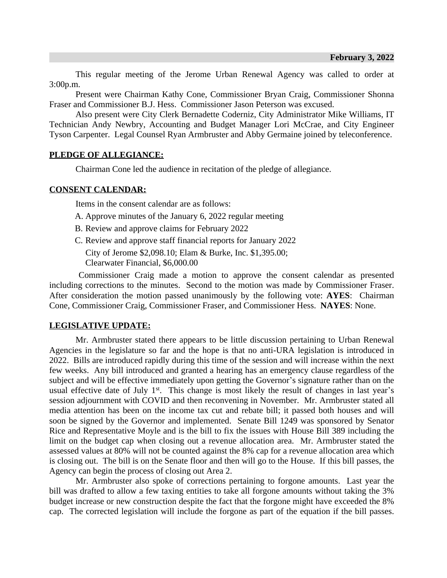This regular meeting of the Jerome Urban Renewal Agency was called to order at 3:00p.m.

Present were Chairman Kathy Cone, Commissioner Bryan Craig, Commissioner Shonna Fraser and Commissioner B.J. Hess. Commissioner Jason Peterson was excused.

Also present were City Clerk Bernadette Coderniz, City Administrator Mike Williams, IT Technician Andy Newbry, Accounting and Budget Manager Lori McCrae, and City Engineer Tyson Carpenter. Legal Counsel Ryan Armbruster and Abby Germaine joined by teleconference.

## **PLEDGE OF ALLEGIANCE:**

Chairman Cone led the audience in recitation of the pledge of allegiance.

## **CONSENT CALENDAR:**

Items in the consent calendar are as follows:

- A. Approve minutes of the January 6, 2022 regular meeting
- B. Review and approve claims for February 2022
- C. Review and approve staff financial reports for January 2022

City of Jerome \$2,098.10; Elam & Burke, Inc. \$1,395.00; Clearwater Financial, \$6,000.00

Commissioner Craig made a motion to approve the consent calendar as presented including corrections to the minutes. Second to the motion was made by Commissioner Fraser. After consideration the motion passed unanimously by the following vote: **AYES**: Chairman Cone, Commissioner Craig, Commissioner Fraser, and Commissioner Hess. **NAYES**: None.

## **LEGISLATIVE UPDATE:**

Mr. Armbruster stated there appears to be little discussion pertaining to Urban Renewal Agencies in the legislature so far and the hope is that no anti-URA legislation is introduced in 2022. Bills are introduced rapidly during this time of the session and will increase within the next few weeks. Any bill introduced and granted a hearing has an emergency clause regardless of the subject and will be effective immediately upon getting the Governor's signature rather than on the usual effective date of July 1<sup>st</sup>. This change is most likely the result of changes in last year's session adjournment with COVID and then reconvening in November. Mr. Armbruster stated all media attention has been on the income tax cut and rebate bill; it passed both houses and will soon be signed by the Governor and implemented. Senate Bill 1249 was sponsored by Senator Rice and Representative Moyle and is the bill to fix the issues with House Bill 389 including the limit on the budget cap when closing out a revenue allocation area. Mr. Armbruster stated the assessed values at 80% will not be counted against the 8% cap for a revenue allocation area which is closing out. The bill is on the Senate floor and then will go to the House. If this bill passes, the Agency can begin the process of closing out Area 2.

Mr. Armbruster also spoke of corrections pertaining to forgone amounts. Last year the bill was drafted to allow a few taxing entities to take all forgone amounts without taking the 3% budget increase or new construction despite the fact that the forgone might have exceeded the 8% cap. The corrected legislation will include the forgone as part of the equation if the bill passes.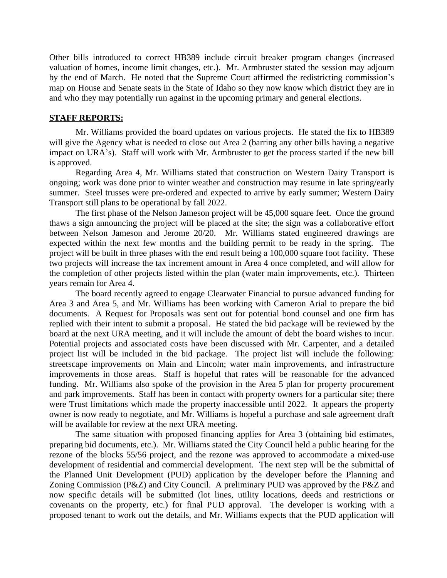Other bills introduced to correct HB389 include circuit breaker program changes (increased valuation of homes, income limit changes, etc.). Mr. Armbruster stated the session may adjourn by the end of March. He noted that the Supreme Court affirmed the redistricting commission's map on House and Senate seats in the State of Idaho so they now know which district they are in and who they may potentially run against in the upcoming primary and general elections.

## **STAFF REPORTS:**

Mr. Williams provided the board updates on various projects. He stated the fix to HB389 will give the Agency what is needed to close out Area 2 (barring any other bills having a negative impact on URA's). Staff will work with Mr. Armbruster to get the process started if the new bill is approved.

Regarding Area 4, Mr. Williams stated that construction on Western Dairy Transport is ongoing; work was done prior to winter weather and construction may resume in late spring/early summer. Steel trusses were pre-ordered and expected to arrive by early summer; Western Dairy Transport still plans to be operational by fall 2022.

The first phase of the Nelson Jameson project will be 45,000 square feet. Once the ground thaws a sign announcing the project will be placed at the site; the sign was a collaborative effort between Nelson Jameson and Jerome 20/20. Mr. Williams stated engineered drawings are expected within the next few months and the building permit to be ready in the spring. The project will be built in three phases with the end result being a 100,000 square foot facility. These two projects will increase the tax increment amount in Area 4 once completed, and will allow for the completion of other projects listed within the plan (water main improvements, etc.). Thirteen years remain for Area 4.

The board recently agreed to engage Clearwater Financial to pursue advanced funding for Area 3 and Area 5, and Mr. Williams has been working with Cameron Arial to prepare the bid documents. A Request for Proposals was sent out for potential bond counsel and one firm has replied with their intent to submit a proposal. He stated the bid package will be reviewed by the board at the next URA meeting, and it will include the amount of debt the board wishes to incur. Potential projects and associated costs have been discussed with Mr. Carpenter, and a detailed project list will be included in the bid package. The project list will include the following: streetscape improvements on Main and Lincoln; water main improvements, and infrastructure improvements in those areas. Staff is hopeful that rates will be reasonable for the advanced funding. Mr. Williams also spoke of the provision in the Area 5 plan for property procurement and park improvements. Staff has been in contact with property owners for a particular site; there were Trust limitations which made the property inaccessible until 2022. It appears the property owner is now ready to negotiate, and Mr. Williams is hopeful a purchase and sale agreement draft will be available for review at the next URA meeting.

The same situation with proposed financing applies for Area 3 (obtaining bid estimates, preparing bid documents, etc.). Mr. Williams stated the City Council held a public hearing for the rezone of the blocks 55/56 project, and the rezone was approved to accommodate a mixed-use development of residential and commercial development. The next step will be the submittal of the Planned Unit Development (PUD) application by the developer before the Planning and Zoning Commission (P&Z) and City Council. A preliminary PUD was approved by the P&Z and now specific details will be submitted (lot lines, utility locations, deeds and restrictions or covenants on the property, etc.) for final PUD approval. The developer is working with a proposed tenant to work out the details, and Mr. Williams expects that the PUD application will